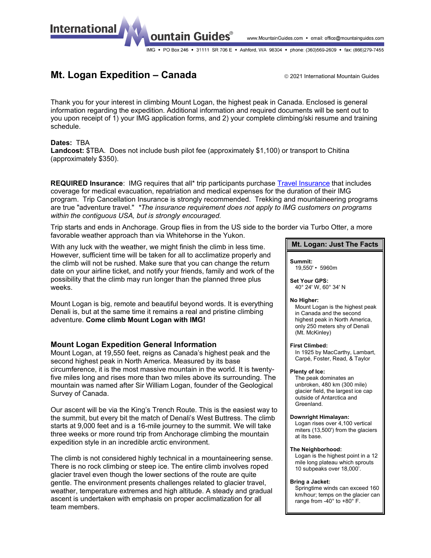www.MountainGuides.com • email: office@mountainguides.com

IMG • PO Box 246 • 31111 SR 706 E • Ashford, WA 98304 • phone: (360)569-2609 • fax: (866)279-7455

# **Mt. Logan Expedition – Canada** and a 2021 International Mountain Guides

Thank you for your interest in climbing Mount Logan, the highest peak in Canada. Enclosed is general information regarding the expedition. Additional information and required documents will be sent out to you upon receipt of 1) your IMG application forms, and 2) your complete climbing/ski resume and training schedule.

### **Dates:** TBA

**International** 

**Landcost:** \$TBA. Does not include bush pilot fee (approximately \$1,100) or transport to Chitina (approximately \$350).

ountain Guides®

**REQUIRED Insurance**: IMG requires that all\* trip participants purchase [Travel Insurance](http://www.mountainguides.com/travel-insurance.shtml) that includes coverage for medical evacuation, repatriation and medical expenses for the duration of their IMG program. Trip Cancellation Insurance is strongly recommended. Trekking and mountaineering programs are true "adventure travel." *\*The insurance requirement does not apply to IMG customers on programs within the contiguous USA, but is strongly encouraged.*

Trip starts and ends in Anchorage. Group flies in from the US side to the border via Turbo Otter, a more favorable weather approach than via Whitehorse in the Yukon.

With any luck with the weather, we might finish the climb in less time. However, sufficient time will be taken for all to acclimatize properly and the climb will not be rushed. Make sure that you can change the return date on your airline ticket, and notify your friends, family and work of the possibility that the climb may run longer than the planned three plus weeks.

Mount Logan is big, remote and beautiful beyond words. It is everything Denali is, but at the same time it remains a real and pristine climbing adventure. **Come climb Mount Logan with IMG!**

## **Mount Logan Expedition General Information**

Mount Logan, at 19,550 feet, reigns as Canada's highest peak and the second highest peak in North America. Measured by its base circumference, it is the most massive mountain in the world. It is twentyfive miles long and rises more than two miles above its surrounding. The mountain was named after Sir William Logan, founder of the Geological Survey of Canada.

Our ascent will be via the King's Trench Route. This is the easiest way to the summit, but every bit the match of Denali's West Buttress. The climb starts at 9,000 feet and is a 16-mile journey to the summit. We will take three weeks or more round trip from Anchorage climbing the mountain expedition style in an incredible arctic environment.

The climb is not considered highly technical in a mountaineering sense. There is no rock climbing or steep ice. The entire climb involves roped glacier travel even though the lower sections of the route are quite gentle. The environment presents challenges related to glacier travel, weather, temperature extremes and high altitude. A steady and gradual ascent is undertaken with emphasis on proper acclimatization for all team members.

### **Mt. Logan: Just The Facts**

**Summit:** 19,550' • 5960m

**Set Your GPS:** 40° 24' W, 60° 34' N

#### **No Higher:**

Mount Logan is the highest peak in Canada and the second highest peak in North America, only 250 meters shy of Denali (Mt. McKinley)

#### **First Climbed:**

In 1925 by MacCarthy, Lambart, Carpé, Foster, Read, & Taylor

#### **Plenty of Ice:**

The peak dominates an unbroken, 480 km (300 mile) glacier field, the largest ice cap outside of Antarctica and Greenland.

#### **Downright Himalayan:**

Logan rises over 4,100 vertical miters (13,500') from the glaciers at its base.

#### **The Neighborhood:**

Logan is the highest point in a 12 mile long plateau which sprouts 10 subpeaks over 18,000'.

#### **Bring a Jacket:**

Springtime winds can exceed 160 km/hour; temps on the glacier can range from -40° to +80° F.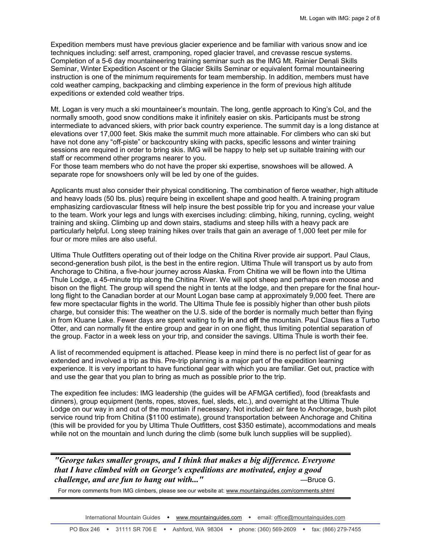Expedition members must have previous glacier experience and be familiar with various snow and ice techniques including: self arrest, cramponing, roped glacier travel, and crevasse rescue systems. Completion of a 5-6 day mountaineering training seminar such as the IMG Mt. Rainier Denali Skills Seminar, Winter Expedition Ascent or the Glacier Skills Seminar or equivalent formal mountaineering instruction is one of the minimum requirements for team membership. In addition, members must have cold weather camping, backpacking and climbing experience in the form of previous high altitude expeditions or extended cold weather trips.

Mt. Logan is very much a ski mountaineer's mountain. The long, gentle approach to King's Col, and the normally smooth, good snow conditions make it infinitely easier on skis. Participants must be strong intermediate to advanced skiers, with prior back country experience. The summit day is a long distance at elevations over 17,000 feet. Skis make the summit much more attainable. For climbers who can ski but have not done any "off-piste" or backcountry skiing with packs, specific lessons and winter training sessions are required in order to bring skis. IMG will be happy to help set up suitable training with our staff or recommend other programs nearer to you.

For those team members who do not have the proper ski expertise, snowshoes will be allowed. A separate rope for snowshoers only will be led by one of the guides.

Applicants must also consider their physical conditioning. The combination of fierce weather, high altitude and heavy loads (50 lbs. plus) require being in excellent shape and good health. A training program emphasizing cardiovascular fitness will help insure the best possible trip for you and increase your value to the team. Work your legs and lungs with exercises including: climbing, hiking, running, cycling, weight training and skiing. Climbing up and down stairs, stadiums and steep hills with a heavy pack are particularly helpful. Long steep training hikes over trails that gain an average of 1,000 feet per mile for four or more miles are also useful.

Ultima Thule Outfitters operating out of their lodge on the Chitina River provide air support. Paul Claus, second-generation bush pilot, is the best in the entire region. Ultima Thule will transport us by auto from Anchorage to Chitina, a five-hour journey across Alaska. From Chitina we will be flown into the Ultima Thule Lodge, a 45-minute trip along the Chitina River. We will spot sheep and perhaps even moose and bison on the flight. The group will spend the night in tents at the lodge, and then prepare for the final hourlong flight to the Canadian border at our Mount Logan base camp at approximately 9,000 feet. There are few more spectacular flights in the world. The Ultima Thule fee is possibly higher than other bush pilots charge, but consider this: The weather on the U.S. side of the border is normally much better than flying in from Kluane Lake. Fewer days are spent waiting to fly **in** and **off** the mountain. Paul Claus flies a Turbo Otter, and can normally fit the entire group and gear in on one flight, thus limiting potential separation of the group. Factor in a week less on your trip, and consider the savings. Ultima Thule is worth their fee.

A list of recommended equipment is attached. Please keep in mind there is no perfect list of gear for as extended and involved a trip as this. Pre-trip planning is a major part of the expedition learning experience. It is very important to have functional gear with which you are familiar. Get out, practice with and use the gear that you plan to bring as much as possible prior to the trip.

The expedition fee includes: IMG leadership (the guides will be AFMGA certified), food (breakfasts and dinners), group equipment (tents, ropes, stoves, fuel, sleds, etc.), and overnight at the Ultima Thule Lodge on our way in and out of the mountain if necessary. Not included: air fare to Anchorage, bush pilot service round trip from Chitina (\$1100 estimate), ground transportation between Anchorage and Chitina (this will be provided for you by Ultima Thule Outfitters, cost \$350 estimate), accommodations and meals while not on the mountain and lunch during the climb (some bulk lunch supplies will be supplied).

*"George takes smaller groups, and I think that makes a big difference. Everyone that I have climbed with on George's expeditions are motivated, enjoy a good challenge, and are fun to hang out with..."* **Example 2** and *are general members and are general members* and *are general members* and *are general members* and *are general members* and *are general members* and *are g* 

For more comments from IMG climbers, please see our website at[: www.mountainguides.com/comments.shtml](http://www.mountainguides.com/comments.shtml)

International Mountain Guides  $\arrow$  [www.mountainguides.com](http://www.mountainguides.com/)  $\rightarrow$  email[: office@mountainguides.com](mailto:office@mountainguides.com)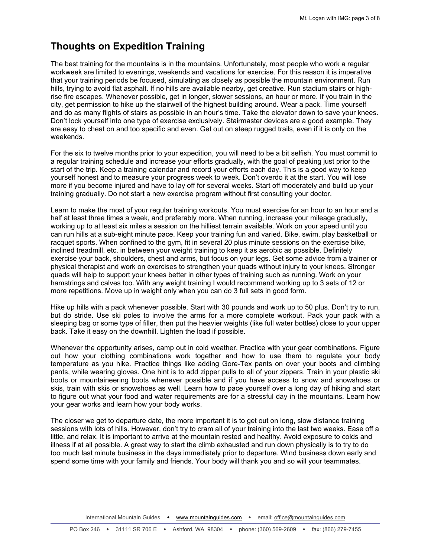# **Thoughts on Expedition Training**

The best training for the mountains is in the mountains. Unfortunately, most people who work a regular workweek are limited to evenings, weekends and vacations for exercise. For this reason it is imperative that your training periods be focused, simulating as closely as possible the mountain environment. Run hills, trying to avoid flat asphalt. If no hills are available nearby, get creative. Run stadium stairs or highrise fire escapes. Whenever possible, get in longer, slower sessions, an hour or more. If you train in the city, get permission to hike up the stairwell of the highest building around. Wear a pack. Time yourself and do as many flights of stairs as possible in an hour's time. Take the elevator down to save your knees. Don't lock yourself into one type of exercise exclusively. Stairmaster devices are a good example. They are easy to cheat on and too specific and even. Get out on steep rugged trails, even if it is only on the weekends.

For the six to twelve months prior to your expedition, you will need to be a bit selfish. You must commit to a regular training schedule and increase your efforts gradually, with the goal of peaking just prior to the start of the trip. Keep a training calendar and record your efforts each day. This is a good way to keep yourself honest and to measure your progress week to week. Don't overdo it at the start. You will lose more if you become injured and have to lay off for several weeks. Start off moderately and build up your training gradually. Do not start a new exercise program without first consulting your doctor.

Learn to make the most of your regular training workouts. You must exercise for an hour to an hour and a half at least three times a week, and preferably more. When running, increase your mileage gradually, working up to at least six miles a session on the hilliest terrain available. Work on your speed until you can run hills at a sub-eight minute pace. Keep your training fun and varied. Bike, swim, play basketball or racquet sports. When confined to the gym, fit in several 20 plus minute sessions on the exercise bike, inclined treadmill, etc. in between your weight training to keep it as aerobic as possible. Definitely exercise your back, shoulders, chest and arms, but focus on your legs. Get some advice from a trainer or physical therapist and work on exercises to strengthen your quads without injury to your knees. Stronger quads will help to support your knees better in other types of training such as running. Work on your hamstrings and calves too. With any weight training I would recommend working up to 3 sets of 12 or more repetitions. Move up in weight only when you can do 3 full sets in good form.

Hike up hills with a pack whenever possible. Start with 30 pounds and work up to 50 plus. Don't try to run, but do stride. Use ski poles to involve the arms for a more complete workout. Pack your pack with a sleeping bag or some type of filler, then put the heavier weights (like full water bottles) close to your upper back. Take it easy on the downhill. Lighten the load if possible.

Whenever the opportunity arises, camp out in cold weather. Practice with your gear combinations. Figure out how your clothing combinations work together and how to use them to regulate your body temperature as you hike. Practice things like adding Gore-Tex pants on over your boots and climbing pants, while wearing gloves. One hint is to add zipper pulls to all of your zippers. Train in your plastic ski boots or mountaineering boots whenever possible and if you have access to snow and snowshoes or skis, train with skis or snowshoes as well. Learn how to pace yourself over a long day of hiking and start to figure out what your food and water requirements are for a stressful day in the mountains. Learn how your gear works and learn how your body works.

The closer we get to departure date, the more important it is to get out on long, slow distance training sessions with lots of hills. However, don't try to cram all of your training into the last two weeks. Ease off a little, and relax. It is important to arrive at the mountain rested and healthy. Avoid exposure to colds and illness if at all possible. A great way to start the climb exhausted and run down physically is to try to do too much last minute business in the days immediately prior to departure. Wind business down early and spend some time with your family and friends. Your body will thank you and so will your teammates.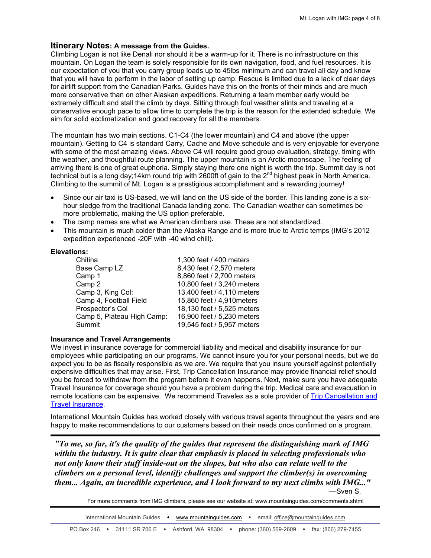## **Itinerary Notes: A message from the Guides.**

Climbing Logan is not like Denali nor should it be a warm-up for it. There is no infrastructure on this mountain. On Logan the team is solely responsible for its own navigation, food, and fuel resources. It is our expectation of you that you carry group loads up to 45lbs minimum and can travel all day and know that you will have to perform in the labor of setting up camp. Rescue is limited due to a lack of clear days for airlift support from the Canadian Parks. Guides have this on the fronts of their minds and are much more conservative than on other Alaskan expeditions. Returning a team member early would be extremely difficult and stall the climb by days. Sitting through foul weather stints and traveling at a conservative enough pace to allow time to complete the trip is the reason for the extended schedule. We aim for solid acclimatization and good recovery for all the members.

The mountain has two main sections. C1-C4 (the lower mountain) and C4 and above (the upper mountain). Getting to C4 is standard Carry, Cache and Move schedule and is very enjoyable for everyone with some of the most amazing views. Above C4 will require good group evaluation, strategy, timing with the weather, and thoughtful route planning. The upper mountain is an Arctic moonscape. The feeling of arriving there is one of great euphoria. Simply staying there one night is worth the trip. Summit day is not technical but is a long day;14km round trip with 2600ft of gain to the  $2^{nd}$  highest peak in North America. Climbing to the summit of Mt. Logan is a prestigious accomplishment and a rewarding journey!

- Since our air taxi is US-based, we will land on the US side of the border. This landing zone is a sixhour sledge from the traditional Canada landing zone. The Canadian weather can sometimes be more problematic, making the US option preferable.
- The camp names are what we American climbers use. These are not standardized.
- This mountain is much colder than the Alaska Range and is more true to Arctic temps (IMG's 2012 expedition experienced -20F with -40 wind chill).

### **Elevations:**

| Chitina                    | 1,300 feet / 400 meters    |
|----------------------------|----------------------------|
| Base Camp LZ               | 8,430 feet / 2,570 meters  |
| Camp 1                     | 8,860 feet / 2,700 meters  |
| Camp 2                     | 10,800 feet / 3,240 meters |
| Camp 3, King Col:          | 13,400 feet / 4,110 meters |
| Camp 4, Football Field     | 15,860 feet / 4,910 meters |
| Prospector's Col           | 18,130 feet / 5,525 meters |
| Camp 5, Plateau High Camp: | 16,900 feet / 5,230 meters |
| Summit                     | 19,545 feet / 5,957 meters |
|                            |                            |

### **Insurance and Travel Arrangements**

We invest in insurance coverage for commercial liability and medical and disability insurance for our employees while participating on our programs. We cannot insure you for your personal needs, but we do expect you to be as fiscally responsible as we are. We require that you insure yourself against potentially expensive difficulties that may arise. First, Trip Cancellation Insurance may provide financial relief should you be forced to withdraw from the program before it even happens. Next, make sure you have adequate Travel Insurance for coverage should you have a problem during the trip. Medical care and evacuation in remote locations can be expensive. We recommend Travelex as a sole provider of [Trip Cancellation and](http://www.mountainguides.com/travel-insurance.shtml)  [Travel Insurance.](http://www.mountainguides.com/travel-insurance.shtml)

International Mountain Guides has worked closely with various travel agents throughout the years and are happy to make recommendations to our customers based on their needs once confirmed on a program.

*"To me, so far, it's the quality of the guides that represent the distinguishing mark of IMG within the industry. It is quite clear that emphasis is placed in selecting professionals who not only know their stuff inside-out on the slopes, but who also can relate well to the climbers on a personal level, identify challenges and support the climber(s) in overcoming them... Again, an incredible experience, and I look forward to my next climbs with IMG..."* —Sven S.

For more comments from IMG climbers, please see our website at: [www.mountainguides.com/comments.shtml](http://www.mountainguides.com/comments.shtml)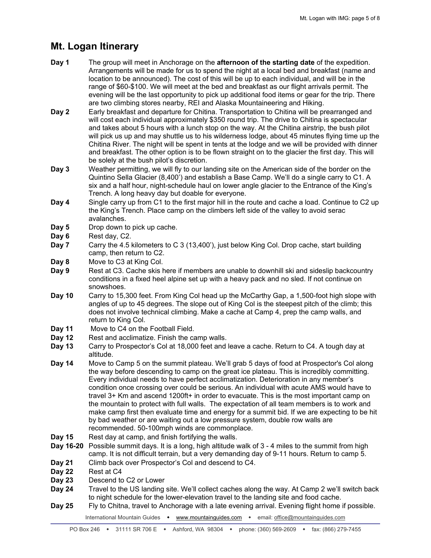# **Mt. Logan Itinerary**

- **Day 1** The group will meet in Anchorage on the **afternoon of the starting date** of the expedition. Arrangements will be made for us to spend the night at a local bed and breakfast (name and location to be announced). The cost of this will be up to each individual, and will be in the range of \$60-\$100. We will meet at the bed and breakfast as our flight arrivals permit. The evening will be the last opportunity to pick up additional food items or gear for the trip. There are two climbing stores nearby, REI and Alaska Mountaineering and Hiking.
- **Day 2** Early breakfast and departure for Chitina. Transportation to Chitina will be prearranged and will cost each individual approximately \$350 round trip. The drive to Chitina is spectacular and takes about 5 hours with a lunch stop on the way. At the Chitina airstrip, the bush pilot will pick us up and may shuttle us to his wilderness lodge, about 45 minutes flying time up the Chitina River. The night will be spent in tents at the lodge and we will be provided with dinner and breakfast. The other option is to be flown straight on to the glacier the first day. This will be solely at the bush pilot's discretion.
- **Day 3** Weather permitting, we will fly to our landing site on the American side of the border on the Quintino Sella Glacier (8,400') and establish a Base Camp. We'll do a single carry to C1. A six and a half hour, night-schedule haul on lower angle glacier to the Entrance of the King's Trench. A long heavy day but doable for everyone.
- **Day 4** Single carry up from C1 to the first major hill in the route and cache a load. Continue to C2 up the King's Trench. Place camp on the climbers left side of the valley to avoid serac avalanches.
- **Day 5** Drop down to pick up cache.
- **Day 6** Rest day, C2.
- **Day 7** Carry the 4.5 kilometers to C 3 (13,400'), just below King Col. Drop cache, start building camp, then return to C2.
- **Day 8** Move to C3 at King Col.
- **Day 9** Rest at C3. Cache skis here if members are unable to downhill ski and sideslip backcountry conditions in a fixed heel alpine set up with a heavy pack and no sled. If not continue on snowshoes.
- **Day 10** Carry to 15,300 feet. From King Col head up the McCarthy Gap, a 1,500-foot high slope with angles of up to 45 degrees. The slope out of King Col is the steepest pitch of the climb; this does not involve technical climbing. Make a cache at Camp 4, prep the camp walls, and return to King Col.
- **Day 11** Move to C4 on the Football Field.
- **Day 12** Rest and acclimatize. Finish the camp walls.
- **Day 13** Carry to Prospector's Col at 18,000 feet and leave a cache. Return to C4. A tough day at altitude.
- **Day 14** Move to Camp 5 on the summit plateau. We'll grab 5 days of food at Prospector's Col along the way before descending to camp on the great ice plateau. This is incredibly committing. Every individual needs to have perfect acclimatization. Deterioration in any member's condition once crossing over could be serious. An individual with acute AMS would have to travel 3+ Km and ascend 1200ft+ in order to evacuate. This is the most important camp on the mountain to protect with full walls. The expectation of all team members is to work and make camp first then evaluate time and energy for a summit bid. If we are expecting to be hit by bad weather or are waiting out a low pressure system, double row walls are recommended. 50-100mph winds are commonplace.
- **Day 15** Rest day at camp, and finish fortifying the walls.
- **Day 16-20** Possible summit days. It is a long, high altitude walk of 3 4 miles to the summit from high camp. It is not difficult terrain, but a very demanding day of 9-11 hours. Return to camp 5.
- **Day 21** Climb back over Prospector's Col and descend to C4.
- **Day 22** Rest at C4
- **Day 23** Descend to C2 or Lower
- **Day 24** Travel to the US landing site. We'll collect caches along the way. At Camp 2 we'll switch back to night schedule for the lower-elevation travel to the landing site and food cache.
- **Day 25** Fly to Chitna, travel to Anchorage with a late evening arrival. Evening flight home if possible.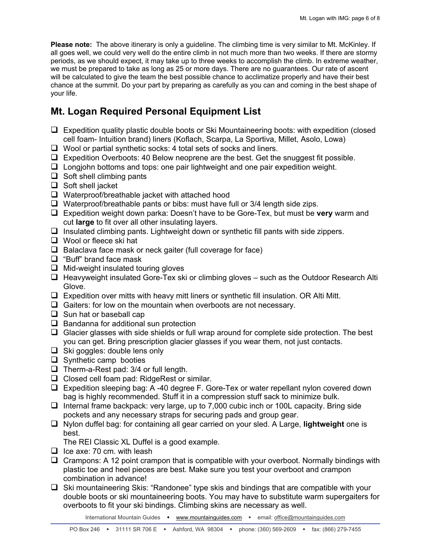**Please note:** The above itinerary is only a guideline. The climbing time is very similar to Mt. McKinley. If all goes well, we could very well do the entire climb in not much more than two weeks. If there are stormy periods, as we should expect, it may take up to three weeks to accomplish the climb. In extreme weather, we must be prepared to take as long as 25 or more days. There are no guarantees. Our rate of ascent will be calculated to give the team the best possible chance to acclimatize properly and have their best chance at the summit. Do your part by preparing as carefully as you can and coming in the best shape of your life.

# **Mt. Logan Required Personal Equipment List**

- $\Box$  Expedition quality plastic double boots or Ski Mountaineering boots: with expedition (closed cell foam- Intuition brand) liners (Koflach, Scarpa, La Sportiva, Millet, Asolo, Lowa)
- $\Box$  Wool or partial synthetic socks: 4 total sets of socks and liners.
- $\Box$  Expedition Overboots: 40 Below neoprene are the best. Get the snuggest fit possible.
- $\Box$  Longiohn bottoms and tops: one pair lightweight and one pair expedition weight.
- $\Box$  Soft shell climbing pants
- $\Box$  Soft shell jacket
- $\Box$  Waterproof/breathable jacket with attached hood
- $\Box$  Waterproof/breathable pants or bibs: must have full or 3/4 length side zips.
- Expedition weight down parka: Doesn't have to be Gore-Tex, but must be **very** warm and cut **large** to fit over all other insulating layers.
- $\Box$  Insulated climbing pants. Lightweight down or synthetic fill pants with side zippers.
- □ Wool or fleece ski hat
- $\Box$  Balaclava face mask or neck gaiter (full coverage for face)
- $\Box$  "Buff" brand face mask
- $\Box$  Mid-weight insulated touring gloves
- $\Box$  Heavyweight insulated Gore-Tex ski or climbing gloves such as the Outdoor Research Alti Glove.
- $\Box$  Expedition over mitts with heavy mitt liners or synthetic fill insulation. OR Alti Mitt.
- $\Box$  Gaiters: for low on the mountain when overboots are not necessary.
- $\Box$  Sun hat or baseball cap
- $\Box$  Bandanna for additional sun protection
- $\Box$  Glacier glasses with side shields or full wrap around for complete side protection. The best you can get. Bring prescription glacier glasses if you wear them, not just contacts.
- $\Box$  Ski goggles: double lens only
- $\Box$  Synthetic camp booties
- $\Box$  Therm-a-Rest pad: 3/4 or full length.
- $\Box$  Closed cell foam pad: RidgeRest or similar.
- Expedition sleeping bag: A -40 degree F. Gore-Tex or water repellant nylon covered down bag is highly recommended. Stuff it in a compression stuff sack to minimize bulk.
- Internal frame backpack: very large, up to 7,000 cubic inch or 100L capacity. Bring side pockets and any necessary straps for securing pads and group gear.
- Nylon duffel bag: for containing all gear carried on your sled. A Large, **lightweight** one is best.

The REI Classic XL Duffel is a good example.

- $\Box$  Ice axe: 70 cm. with leash
- $\Box$  Crampons: A 12 point crampon that is compatible with your overboot. Normally bindings with plastic toe and heel pieces are best. Make sure you test your overboot and crampon combination in advance!
- $\Box$  Ski mountaineering Skis: "Randonee" type skis and bindings that are compatible with your double boots or ski mountaineering boots. You may have to substitute warm supergaiters for overboots to fit your ski bindings. Climbing skins are necessary as well.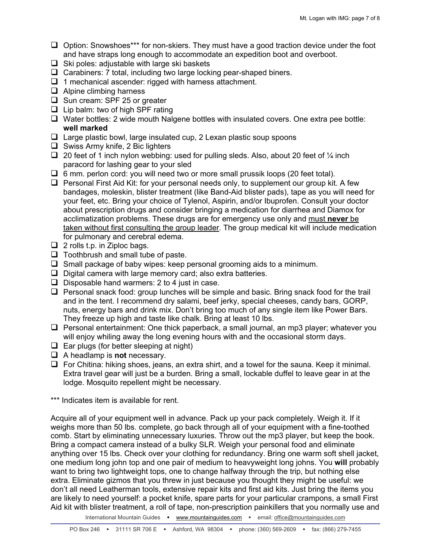- $\Box$  Option: Snowshoes\*\*\* for non-skiers. They must have a good traction device under the foot and have straps long enough to accommodate an expedition boot and overboot.
- $\Box$  Ski poles: adjustable with large ski baskets
- $\Box$  Carabiners: 7 total, including two large locking pear-shaped biners.
- $\Box$  1 mechanical ascender: rigged with harness attachment.
- $\Box$  Alpine climbing harness
- □ Sun cream: SPF 25 or greater
- $\Box$  Lip balm: two of high SPF rating
- $\Box$  Water bottles: 2 wide mouth Nalgene bottles with insulated covers. One extra pee bottle: **well marked**
- $\Box$  Large plastic bowl, large insulated cup, 2 Lexan plastic soup spoons
- $\Box$  Swiss Army knife, 2 Bic lighters
- 20 feet of 1 inch nylon webbing: used for pulling sleds. Also, about 20 feet of  $\frac{1}{4}$  inch paracord for lashing gear to your sled
- $\Box$  6 mm. perlon cord: you will need two or more small prussik loops (20 feet total).
- $\Box$  Personal First Aid Kit: for your personal needs only, to supplement our group kit. A few bandages, moleskin, blister treatment (like Band-Aid blister pads), tape as you will need for your feet, etc. Bring your choice of Tylenol, Aspirin, and/or Ibuprofen. Consult your doctor about prescription drugs and consider bringing a medication for diarrhea and Diamox for acclimatization problems. These drugs are for emergency use only and must **never** be taken without first consulting the group leader . The group medical kit will include medication for pulmonary and cerebral edema.
- $\Box$  2 rolls t.p. in Ziploc bags.
- $\Box$  Toothbrush and small tube of paste.
- $\square$  Small package of baby wipes: keep personal grooming aids to a minimum.
- $\Box$  Digital camera with large memory card; also extra batteries.
- $\Box$  Disposable hand warmers: 2 to 4 just in case.
- $\Box$  Personal snack food: group lunches will be simple and basic. Bring snack food for the trail and in the tent. I recommend dry salami, beef jerky, special cheeses, candy bars, GORP, nuts, energy bars and drink mix. Don't bring too much of any single item like Power Bars. They freeze up high and taste like chalk. Bring at least 10 lbs.
- $\Box$  Personal entertainment: One thick paperback, a small journal, an mp3 player; whatever you will enjoy whiling away the long evening hours with and the occasional storm days.
- $\Box$  Ear plugs (for better sleeping at night)
- A headlamp is **not** necessary.
- $\Box$  For Chitina: hiking shoes, jeans, an extra shirt, and a towel for the sauna. Keep it minimal. Extra travel gear will just be a burden. Bring a small, lockable duffel to leave gear in at the lodge. Mosquito repellent might be necessary.
- \*\*\* Indicates item is available for rent.

Acquire all of your equipment well in advance. Pack up your pack completely. Weigh it. If it weighs more than 50 lbs. complete, go back through all of your equipment with a fine-toothed comb. Start by eliminating unnecessary luxuries. Throw out the mp3 player, but keep the book. Bring a compact camera instead of a bulky SLR. Weigh your personal food and eliminate anything over 15 lbs. Check over your clothing for redundancy. Bring one warm soft shell jacket, one medium long john top and one pair of medium to heavyweight long johns. You **will** probably want to bring two lightweight tops, one to change halfway through the trip, but nothing else extra. Eliminate gizmos that you threw in just because you thought they might be useful: we don't all need Leatherman tools, extensive repair kits and first aid kits. Just bring the items you are likely to need yourself: a pocket knife, spare parts for your particular crampons, a small First Aid kit with blister treatment, a roll of tape, non-prescription painkillers that you normally use and